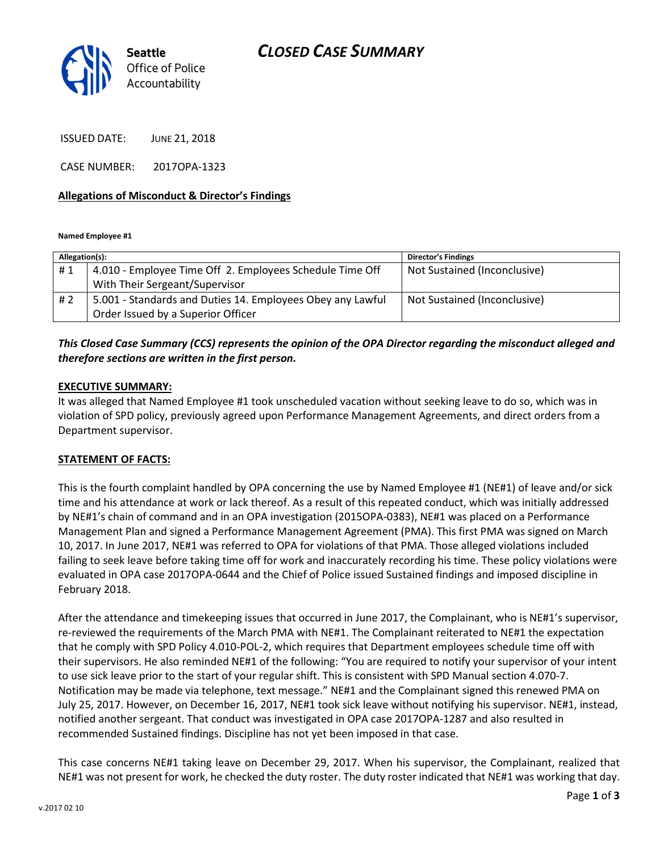

ISSUED DATE: JUNE 21, 2018

CASE NUMBER: 2017OPA-1323

#### Allegations of Misconduct & Director's Findings

Named Employee #1

| Allegation(s): |                                                            | <b>Director's Findings</b>   |
|----------------|------------------------------------------------------------|------------------------------|
| #1             | 4.010 - Employee Time Off 2. Employees Schedule Time Off   | Not Sustained (Inconclusive) |
|                | With Their Sergeant/Supervisor                             |                              |
| #2             | 5.001 - Standards and Duties 14. Employees Obey any Lawful | Not Sustained (Inconclusive) |
|                | Order Issued by a Superior Officer                         |                              |

### This Closed Case Summary (CCS) represents the opinion of the OPA Director regarding the misconduct alleged and therefore sections are written in the first person.

#### EXECUTIVE SUMMARY:

It was alleged that Named Employee #1 took unscheduled vacation without seeking leave to do so, which was in violation of SPD policy, previously agreed upon Performance Management Agreements, and direct orders from a Department supervisor.

#### STATEMENT OF FACTS:

This is the fourth complaint handled by OPA concerning the use by Named Employee #1 (NE#1) of leave and/or sick time and his attendance at work or lack thereof. As a result of this repeated conduct, which was initially addressed by NE#1's chain of command and in an OPA investigation (2015OPA-0383), NE#1 was placed on a Performance Management Plan and signed a Performance Management Agreement (PMA). This first PMA was signed on March 10, 2017. In June 2017, NE#1 was referred to OPA for violations of that PMA. Those alleged violations included failing to seek leave before taking time off for work and inaccurately recording his time. These policy violations were evaluated in OPA case 2017OPA-0644 and the Chief of Police issued Sustained findings and imposed discipline in February 2018.

After the attendance and timekeeping issues that occurred in June 2017, the Complainant, who is NE#1's supervisor, re-reviewed the requirements of the March PMA with NE#1. The Complainant reiterated to NE#1 the expectation that he comply with SPD Policy 4.010-POL-2, which requires that Department employees schedule time off with their supervisors. He also reminded NE#1 of the following: "You are required to notify your supervisor of your intent to use sick leave prior to the start of your regular shift. This is consistent with SPD Manual section 4.070-7. Notification may be made via telephone, text message." NE#1 and the Complainant signed this renewed PMA on July 25, 2017. However, on December 16, 2017, NE#1 took sick leave without notifying his supervisor. NE#1, instead, notified another sergeant. That conduct was investigated in OPA case 2017OPA-1287 and also resulted in recommended Sustained findings. Discipline has not yet been imposed in that case.

This case concerns NE#1 taking leave on December 29, 2017. When his supervisor, the Complainant, realized that NE#1 was not present for work, he checked the duty roster. The duty roster indicated that NE#1 was working that day.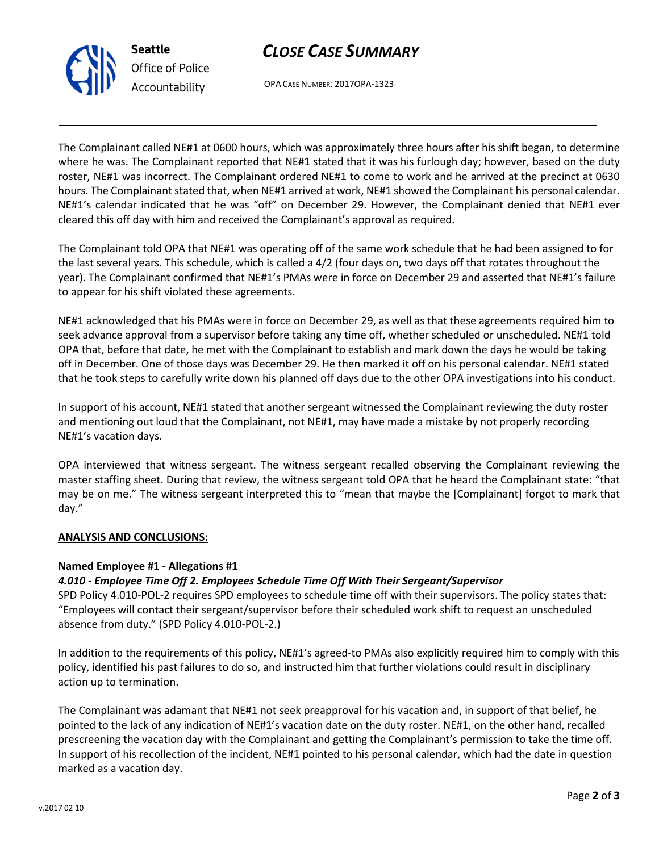## CLOSE CASE SUMMARY



Office of Police Accountability

OPA CASE NUMBER: 2017OPA-1323

The Complainant called NE#1 at 0600 hours, which was approximately three hours after his shift began, to determine where he was. The Complainant reported that NE#1 stated that it was his furlough day; however, based on the duty roster, NE#1 was incorrect. The Complainant ordered NE#1 to come to work and he arrived at the precinct at 0630 hours. The Complainant stated that, when NE#1 arrived at work, NE#1 showed the Complainant his personal calendar. NE#1's calendar indicated that he was "off" on December 29. However, the Complainant denied that NE#1 ever cleared this off day with him and received the Complainant's approval as required.

The Complainant told OPA that NE#1 was operating off of the same work schedule that he had been assigned to for the last several years. This schedule, which is called a 4/2 (four days on, two days off that rotates throughout the year). The Complainant confirmed that NE#1's PMAs were in force on December 29 and asserted that NE#1's failure to appear for his shift violated these agreements.

NE#1 acknowledged that his PMAs were in force on December 29, as well as that these agreements required him to seek advance approval from a supervisor before taking any time off, whether scheduled or unscheduled. NE#1 told OPA that, before that date, he met with the Complainant to establish and mark down the days he would be taking off in December. One of those days was December 29. He then marked it off on his personal calendar. NE#1 stated that he took steps to carefully write down his planned off days due to the other OPA investigations into his conduct.

In support of his account, NE#1 stated that another sergeant witnessed the Complainant reviewing the duty roster and mentioning out loud that the Complainant, not NE#1, may have made a mistake by not properly recording NE#1's vacation days.

OPA interviewed that witness sergeant. The witness sergeant recalled observing the Complainant reviewing the master staffing sheet. During that review, the witness sergeant told OPA that he heard the Complainant state: "that may be on me." The witness sergeant interpreted this to "mean that maybe the [Complainant] forgot to mark that day."

## ANALYSIS AND CONCLUSIONS:

## Named Employee #1 - Allegations #1

## 4.010 - Employee Time Off 2. Employees Schedule Time Off With Their Sergeant/Supervisor

SPD Policy 4.010-POL-2 requires SPD employees to schedule time off with their supervisors. The policy states that: "Employees will contact their sergeant/supervisor before their scheduled work shift to request an unscheduled absence from duty." (SPD Policy 4.010-POL-2.)

In addition to the requirements of this policy, NE#1's agreed-to PMAs also explicitly required him to comply with this policy, identified his past failures to do so, and instructed him that further violations could result in disciplinary action up to termination.

The Complainant was adamant that NE#1 not seek preapproval for his vacation and, in support of that belief, he pointed to the lack of any indication of NE#1's vacation date on the duty roster. NE#1, on the other hand, recalled prescreening the vacation day with the Complainant and getting the Complainant's permission to take the time off. In support of his recollection of the incident, NE#1 pointed to his personal calendar, which had the date in question marked as a vacation day.